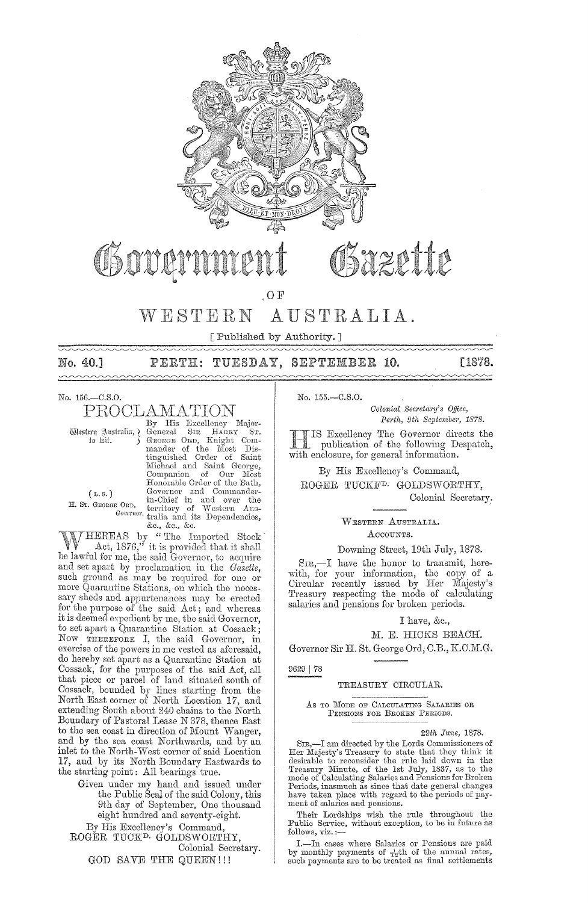

# Fazette

 $.0 F$ 

#### WESTERN AUSTRALIA.

[ Published by Authority.]

No. 40.1  $\sim$ 

# PERTH: TUESDAY, SEPTEMBER 10.

[1878.

No. 156.-C.S.O.

# PROCLAMATION

Western Australia, ¿ to foit.

By His Excellency Major-<br>General SIR HARRY ST.<br>GEORGE ORD, Knight Com-General Sus Links Com-<br>Genome Onb, Knight Com-<br>mander of the Most Dis-<br>tinguished Order of Saint<br>Michael and Saint George, micmael and saint George,<br>Companion of Our Most<br>Honorable Order of the Bath,<br>Governor and Commander-<br>E ORD, territory of Western Aus-<br>Governor traila and its Dependencies,<br> $\frac{R}{2}$  Ac Ac Ac &c., &c., &c.

 $(L.s.)$ H. ST. GEORGE ORD,

HEREAS by "The Imported Stock Act, 1876," it is provided that it shall be lawful for me, the said Governor, to acquire and set apart by proclamation in the Gazette,<br>such ground as may be required for one or more Quarantine Stations, on which the necessary sheds and appurtenances may be erected<br>for the purpose of the said Act; and whereas it is deemed expedient by me, the said Governor, to set apart a Quarantine Station at Cossack; Now THEREFORE I, the said Governor, in exercise of the powers in me vested as aforesaid, do hereby set apart as a Quarantine Station at Cossack, for the purposes of the said Act, all<br>that piece or parcel of land situated south of Cossack, bounded by lines starting from the North East corner of North Location 17, and extending South about 240 chains to the North Boundary of Pastoral Lease N 378, thence East to the sea coast in direction of Mount Wanger, and by the sea coast Northwards, and by an inlet to the North-West corner of said Location 17, and by its North Boundary Eastwards to the starting point: All bearings true.

Given under my hand and issued under the Public Seal of the said Colony, this 9th day of September, One thousand eight hundred and seventy-eight.

By His Excellency's Command, ROGER TUCK<sup>D.</sup> GOLDSWORTHY, Colonial Secretary. GOD SAVE THE QUEEN!!!

No. 155 .- C.S.O.

Colonial Secretary's Office, Perth, 9th September, 1878.

IS Excellency The Governor directs the publication of the following Despatch, with enclosure, for general information.

By His Excellency's Command,

ROGER TUCKF<sup>D.</sup> GOLDSWORTHY. Colonial Secretary.

> WESTERN AUSTRALIA. ACCOUNTS.

#### Downing Street, 19th July, 1878.

 $S_{TR}$ ,—I have the honor to transmit, herewith, for your information, the copy of a Circular recently issued by Her Majesty's Treasury respecting the mode of calculating salaries and pensions for broken periods.

#### I have, &c.,

#### M. E. HICKS BEACH.

Governor Sir H. St. George Ord, C.B., K.C.M.G.

9629 | 78

### TREASURY CIRCULAR.

#### AS TO MODE OF CALCULATING SALARIES OR PENSIONS FOR BROKEN PERIODS.

#### 29th June, 1878.

SIR,-I am directed by the Lords Commissioners of Er Majesty's Treasury to state that they think it<br>desirable to reconsider the rule laid down in the<br>Treasury Minute, of the 1st July, 1837, as to the<br>mode of Calculating Salaries and Pensions for Broken Periods, inasmuch as since that date general changes have taken place with regard to the periods of payment of salaries and pensions.

Their Lordships wish the rule throughout the<br>Public Service, without exception, to be in future as follows, viz.:

I.-In cases where Salaries or Pensions are paid  $\therefore$  in onthly payments of  $\frac{1}{3}$ th of the annual rates, such payments are to be treated as final settlements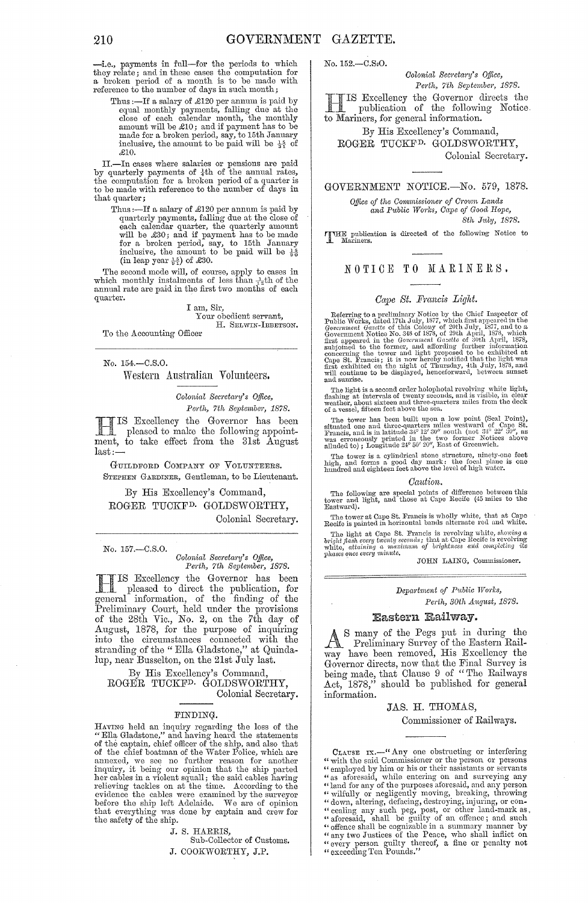-i.e., payments in full-for the periods to which they relate; and in these cases the computation for a broken period of a month is to be made with reference to the number of days in such month;

Thus :-If a salary of £120 per annum is paid by equal monthly payments, falling due at the close of each calendar month, the monthly amount will be  $\pounds 10$ ; and if payment has to be amount win be 210, and if payment has so be<br>made for a broken period, say, to 15th January<br>inclusive, the amount to be paid will be  $\frac{15}{31}$  of ,£10.

II.—In cases where salaries or pensions are paid by quarterly payments of  $\frac{1}{4}$ th of the annual rates, the computation for a broken period of a quarter is to be made with reference to the number of days in that quarter;

Thus :-If a salary of .£120 per annum is paid by quarterly payments, falling due at the close of each calendar quarter, the quarterly amount will be £30; and if payment has to be made for a broken period, say, to 15th January inclusive, the amount to be paid will be  $\frac{15}{90}$ (in leap year  $\frac{15}{91}$ ) of £30.

The second mode will, of course, apply to cases in which monthly instalments of less than  $\frac{1}{12}$ th of the annual rate are paid in the first two months of each quarter.

#### I am, Sir, Your obcdient servant, H. SELWIN-IBBETSON.

To the Accounting Officer

No. 154.-C.S.0.

Western Australian Volunteers.

*Colonictl Sec)'eta1'Y's Office,*  Perth, 7th September, 1878.

H IS Excellency the Governor has been pleased to make the following appointment, to take effect from the 31st August last:-

GUILDFORD COMPANY OF VOLUNTEERS. STEPHEN GARDINER, Gentleman, to be Lieutenant.

By His Excellency's Command, ROGER TUCKFD. GOLDSWORTHY, Colonial Secretary.

No. 157,-C.S.O.

*Colonial Secretary's Office,* Perth, 7th September, 1878.

fIIS Excellency the Governor has been pleased to direct the publication, for general information, of the finding of the Preliminary Court, held under the provisions of the 28th Vic., No. 2, on the '7th day of August, 18'78, for the purpose of inquiring into the circumstances connected with the stranding of the "Ella Gladstone," at Quindalup, near Busselton, on the 21st July last.

By His Excellency's Command, ROGER TUCKF<sup>D.</sup> GOLDSWORTHY,<br>Colonial Secretar<br>ENNEVEL Colonial Secretary.

#### FINDING·

HAVING held an inquiry regarding the loss of the<br>"Ella Gladstone," and having heard the statements<br>of the captain, chief officer of the ship, and also that<br>of the chief boatman of the Water Police, which are<br>annexed, we se evidence the cables were examined by the surveyor before the ship left Adelaide. We are of opinion that everything was clone by captain and crew for the safety of the ship.

J. S. HARRIS,

Sub-Collector of Customs.

J. COOKWORTHY, J.P.

No. 152.-C.SfO.

*Colonial Secretary's Office,* Perth, 7th September, 1878.

HIS Excellency the Governor directs the publication of the following Notice to Mariners, for general information.

By His Excellency's Command, ROGER TUCKFD. GOLDSWORTHY, Colonial Secretary.

GOVERNMENT NOTICE.-No. 579, 1878.

Office of the Commissioner of Crown Lands  $\emph{and Public Works, Cape of Good Hope,}$ 

*8th hly, 1878.* 

THE publication is directed of the following Notice to Mariners.

## NOTICE TO MARINERS.

#### *GC/pe St. Fmncis Light.*

Referring to a preliminary Notice by the Chief Inspector of Public Works, dated 17th July, 1877, which first appeared in the Government Gazette of this Colony of 20th July, 1877, and to a Government Notice No. 348 of 1878, subjoined to the former, and affording further information concerning the tower and light proposed to be exhibited at Cape St. Francis; it is now hereby notified that the light was first exhibited on the night of Thursday,

The light is a second order holophotal revolving white light,<br>flashing at intervals of twenty seconds, and is visible, in clear<br>weather, about sixteen and three-quarters miles from the deck<br>of a vessel, fifteen feet above

The tower has been built upon a low point (Seal Point),<br>situated one and three-quarters miles westward of Cape St.<br>Francis, and is in latitude 349 12' 30'' south (not 34° 22' 30'', as<br>was erroneously printed in the two fo

The tower is a cylindrical stone structure, ninety-one feet high, and forms a good day mark: the focal plane is one hundred and eighteen feet above the level of high water.

#### *Catdion.*

The following are special points of difference between this tower and light, and those at Cape Recife (45 miles to the Eastward).

The tower at Cape St. Francis is wholly white, that at Cape Recife is painted in horizontal bands alternate red and white.

The light at Cape St. Francis is revolving white, showing a<br>bright flash every twenty seconds; that at Cape Recife is revolving<br>white, attaining a maximum of brightness and completing its<br>phases once every minute.

JOHN LAING, Commissioner.

#### *Depal-trnent of Public TVOTks, Perth, 30th August, 1878.*

#### Eastern Railway.

As many of the Pegs put in during the Preliminary Survey of the Eastern Railway have been removed, His Excellency the Governor directs, now that the Final Survey is being made, that Clause 9 of "The Railways Act, 1878," should be published for general information.

#### JAS. H. THOMAS,

#### Commissioner of Railways.

CLAUSE IX.—"Any one obstructing or interfering " with the said Commissioner or the person or persons " employed by him or his or their assistants or servants " as aforesaid, while entering on and surveying any<br>
" land for any of the purposes aforesaid, and any person<br>
" wilfully or negligently moving, breaking, throwing<br>
" down, altering, defacing, destroying, injuring, or con-" exceeding Ten Pounds."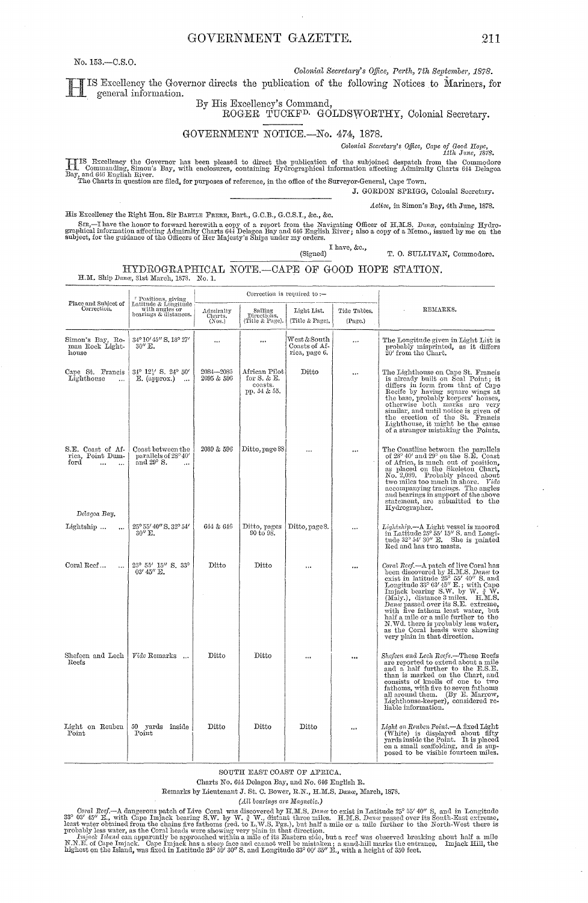GOVERNMENT GAZETTE.

No. 153.-C.S.O.

 $\mathbf{r}$ 

Colonial Secretary's Office, Perth, 7th September, 1878.

IS Excellency the Governor directs the publication of the following Notices to Mariners, for<br>general information. general information.

# By His Excellency's Command,<br>ROGER TUCKF<sup>D.</sup> GOLDSWORTHY, Colonial Secretary.

GOVERNMENT NOTICE.-No. 474, 1878.

Colonial Secretary's Office, Cape of Good Hope, 1878.

HIS Excellency the Governor has been pleased to direct the publication of the subjoined despatch from the Commodore Bay, and 646 English River.<br>Bay, and 646 English River.<br>The Charts in question are filed, for purposes of

J. GORDON SPRIGG, Colonial Secretary.

Active, in Simon's Bay, 4th June, 1878.

His Excellency the Right Hon. Sir BARTLE FRERE, Bart., G.C.B., G.C.S.I., &c., &c.

 $\mathbf{r}$ 

SIR,—I have the honor to forward herewith a copy of a report from the Navigating Officer of H.M.S. Dance, containing Hydrographical information affecting Admiralty Charts 644 Delagon Bay and 646 English River; also a copy (Signed)  $I$  have, &c.,

T. O. SULLIVAN, Commodore.

#### HYDROGRAPHICAL NOTE.-CAPE OF GOOD HOPE STATION. H.M. Ship Dana, 31st March, 1878. No. 1.

|                                                                                         | " Positions, giving<br>Latitude & Longitude                     |                                |                                                              | Correction is required to $:$                          |                         |                                                                                                                                                                                                                                                                                                                                                                                                                                                                                      |  |
|-----------------------------------------------------------------------------------------|-----------------------------------------------------------------|--------------------------------|--------------------------------------------------------------|--------------------------------------------------------|-------------------------|--------------------------------------------------------------------------------------------------------------------------------------------------------------------------------------------------------------------------------------------------------------------------------------------------------------------------------------------------------------------------------------------------------------------------------------------------------------------------------------|--|
| Place and Subject of<br>Correction.                                                     | with angles or<br>bearings & distances.                         | Admiralty<br>Charts.<br>(Nos.) | Sailing<br>Directions.<br>(Title & Page).                    | Light List.<br>(Title & Page).                         | Tide Tables.<br>(Page.) | REMARKS.                                                                                                                                                                                                                                                                                                                                                                                                                                                                             |  |
| Simon's Bay, Ro-<br>man Rock Light-<br>house                                            | 34° 10' 45" S. 18° 27'<br>$30''$ E.                             | $\cdots$                       | $\cdots$                                                     | ${\rm West}$ & South<br>Coasts of Af-<br>rica, page 6. |                         | The Longitude given in Light List is<br>probably misprinted, as it differs<br>20' from the Chart.                                                                                                                                                                                                                                                                                                                                                                                    |  |
| Cape St. Francis<br>Lighthouse<br>$\ddotsc$                                             | 34° 121' S. 24° 50'<br>E. (approx.)<br>$\ddotsc$                | 2084-2085<br>2095 & 596        | African Pilot <br>for $S.$ & $E.$<br>coasts.<br>pp. 54 & 55. | Ditto                                                  | $\cdots$                | The Lighthouse on Cape St. Francis<br>is already built on Seal Point; it<br>differs in form from that of Cape<br>Recife by having square wings at<br>the base, probably keepers' houses,<br>otherwise both marks are very<br>similar, and until notice is given of<br>the erection of the St. Francis<br>Lighthouse, it might be the cause<br>of a stranger mistaking the Points.                                                                                                    |  |
| S.E. Coast of Af-<br>rica, Point Dum-<br>ford<br>$\ddotsc$<br>$\ddotsc$<br>Delagoa Bay. | Coast between the<br>parallels of 28°40'<br>and $29^{\circ}$ S. | 2089 & 596                     | Ditto, page 88                                               | $\cdots$                                               | $\cdots$                | The Coastline between the parallels of $28^{\circ}$ 40' and $29^{\circ}$ on the S.E. Coast<br>of Africa, is much out of position,<br>as placed on the Skeleton Chart,<br>No. 2,089. Probably placed about<br>two miles too much in shore. Vide<br>accompanying tracings. The angles<br>and bearings in support of the above<br>statement, are submitted to the<br>Hydrographer.                                                                                                      |  |
| Lightship<br>$\ddotsc$                                                                  | 25° 55' 40" S. 32° 54'<br>$30''$ E.                             | 644 & 646                      | Ditto, pages<br>90 to 98.                                    | Ditto, page 8.                                         |                         | Lightship.—A Light vessel is moored<br>in Latitude $25^{\circ} 55' 15''$ S, and Longitude $32^{\circ} 54' 30''$ E. She is painted<br>Red and has two masts.                                                                                                                                                                                                                                                                                                                          |  |
| Coral Reef<br>$\ddot{\phantom{a}}$                                                      | 25° 55' 15" S. 33°<br>03' 45" E.                                | Ditto                          | Ditto                                                        |                                                        |                         | Coral Reef.-A patch of live Coral has<br>been discovered by H.M.S. Dance to<br>exist in latitude $25^{\circ}$ 55' 40" S. and<br>Longitude 33° 03' 45" E.; with Cape<br>Imjack bearing S.W. by W. $\frac{3}{4}$ W.<br>(Maly.), distance 3 miles. H.M.S.<br>Dana passed over its S.E. extreme,<br>with five fathom least water, but<br>half a mile or a mile further to the<br>N.Wd. there is probably less water,<br>as the Coral heads were showing<br>very plain in that direction. |  |
| Shefeen and Lech<br>Reefs                                                               | Vide Remarks                                                    | Ditto                          | Ditto                                                        | $\ddotsc$                                              | $\cdots$                | Shefeen and Lech Reefs.—These Reefs<br>are reported to extend about a mile<br>and a half further to the E.S.E.<br>than is marked on the Chart, and<br>consists of knolls of one to two<br>fathoms, with five to seven fathoms<br>all around them. (By E. Marrow,<br>Lighthouse-keeper), considered re-<br>liable information.                                                                                                                                                        |  |
| Light on Reuben<br>Point                                                                | 50 yards inside<br>Point                                        | Ditto                          | Ditto                                                        | Ditto                                                  |                         | Light on Reuben Point.—A fixed Light<br>(White) is displayed about fifty<br>yards inside the Point. It is placed<br>on a small scaffolding, and is sup-<br>posed to be visible fourteen miles.                                                                                                                                                                                                                                                                                       |  |

SOUTH EAST COAST OF AFRICA.

Charts No. 644 Delagoa Bay, and No. 646 English R.

Remarks by Lieutenant J. St. C. Bower, R.N., H.M.S. Dana, March, 1878.

(All bearings are Magnetic.)

Coral Reef.—A dangerous patch of Live Coral was discovered by H.M.S. Dance be rist in Latitude 25° 55' 40" S, and in Longitude 37° 63' 45" E, with Cape Imjack bearing S.W. by W.  $\frac{3}{4}$  W., distant three miles. H.M.S. D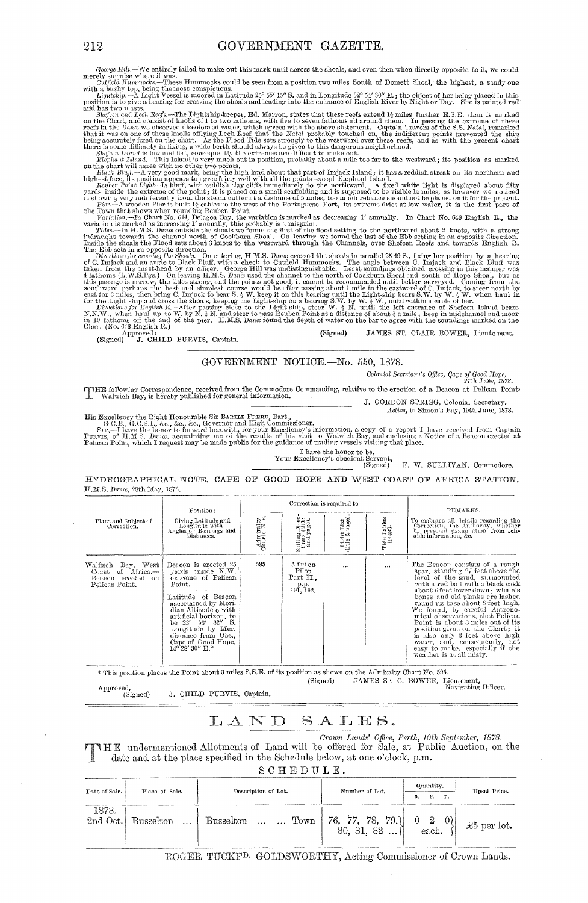Z412<br>
2412 GAZETTEE,<br>
George HR2. We entirely fulled to make out this mask until areas the shock, and erem then when directly populate to it, we could<br>negly surmiso where it was. Hence the same through Hind to make out th

(Signed) J. CHILD PURVIS, Captain.

GOVERNMENT NOTICE.-No. 550, 1878.

Colonial Secretary's Office, Cape of Good Hope,<br>27th June, 1878.

zith June, 1878.<br>I Walwich Bay, is hereby published for general information.<br>I Walwich Bay, is hereby published for general information. J. GORDON SPRIGG, Colonial Secretary.

Active, in Simon's Bay, 19th June, 1878.

His Excellency the Right Honourable Sir Barrie Farar, Bart., and the state of Simon's Bay, 19th June, 1878.<br>G.C.B., G.C.S.I., &c., &c., &c., &c., Governor and High Commissioner.<br>Sin, —I have the honor to forward herewith,

I have the honor to be,<br>
Your Excellency's obedient Servant,<br>
(Signed)

F. W. SULLIVAN, Commodore.

HYDROGRAPHICAL NOTE.-CAPE OF GOOD HOPE AND WEST COAST OF AFRICA STATION. H.M.S. Dance, 28th May, 1878.

|                                                                                | Position:                                                                                                                                                                                                                                                                                                 |                          |                                                | Correction is required to    | REMARKS.               |                                                                                                                                                                                                                                                                                                                                                                                                                                                                                                                                     |
|--------------------------------------------------------------------------------|-----------------------------------------------------------------------------------------------------------------------------------------------------------------------------------------------------------------------------------------------------------------------------------------------------------|--------------------------|------------------------------------------------|------------------------------|------------------------|-------------------------------------------------------------------------------------------------------------------------------------------------------------------------------------------------------------------------------------------------------------------------------------------------------------------------------------------------------------------------------------------------------------------------------------------------------------------------------------------------------------------------------------|
| Place and Subject of<br>Correction.                                            | Giving Latitude and<br>Longitude with<br>Angles or Bearings and<br>Distances.                                                                                                                                                                                                                             | Admiralty<br>Charts Nos. | Sailing Divector<br>tions (tille<br>and page). | Light List<br>(title & page) | Tide Tables<br>(page). | To embrace all details regarding the<br>Correction, the Authority, whether<br>by personal examination, from reli-<br>able information, &c.                                                                                                                                                                                                                                                                                                                                                                                          |
| Walfisch Bay, West<br>Coast of Africa.-<br>Beacon erected on<br>Pelican Point. | Bencon is erected 25<br>yords inside N.W.<br>extreme of Pelican<br>Point.<br>Latitude of Beacon<br>ascertained by Meri-<br>dian Altitude o with<br>artificial horizon, to<br>be $23^{\circ}$ $53'$ $32''$ S.<br>Longitude by Mer.<br>distance from Obs.,<br>Cape of Good Hope,<br>$14^{\circ}28'30''$ E.* | 595                      | Africa<br>Pilot<br>Part II.,<br>191, 192,      | $\cdots$                     | $\cdots$               | The Beacon consists of a rough<br>spar, standing 27 feet above the<br>level of the sand, surmounted<br>with a red ball with a black cask<br>about 6 feet lower down; whale's<br>bones and old planks are lashed<br>round its base about 8 feet high.<br>We found, by careful Astrono-<br>mical observations, that Pelican<br>Point is about 3 miles out of its<br>position given on the Chart; it<br>is also only 3 feet above high<br>water, and, consequently, not<br>easy to make, especially if the<br>weather is at all misty. |

\* This position places the Point about 3 miles S.S.E. of its position as shown on the Admiralty Chart No. 595.

(Signed)

JAMES ST. C. BOWER, Lieutenant, Navigating Officer.

 ${\Large{\bf Approach},}\\ {\rm (Signed)}$ J. CHILD PURVIS, Captain.

#### LAND  $SALES.$

Crown Lands' Office, Perth, 10th September, 1878. If HE undermentioned Allotments of Land will be offered for Sale, at Public Auction, on the date and at the place specified in the Schedule below, at one o'clock, p.m.

SCHEDULE.

| Date of Sale.     | Place of Sale.                | Description of Lot. | Number of Lot.                           | Quantity.<br>г.<br>p.<br>a.                           | Upset Price. |
|-------------------|-------------------------------|---------------------|------------------------------------------|-------------------------------------------------------|--------------|
| 1878.<br>2nd Oct. | <b>Busselton</b><br>$\ddotsc$ | Busselton   Town    | 76, 77, 78,<br>$-79,$<br>. 82<br>80, 81, | $ 0\rangle$<br>$\overline{2}$<br>$\mathbf 0$<br>each. | £5 per lot.  |

ROGER TUCKF<sup>D.</sup> GOLDSWORTHY, Acting Commissioner of Crown Lands.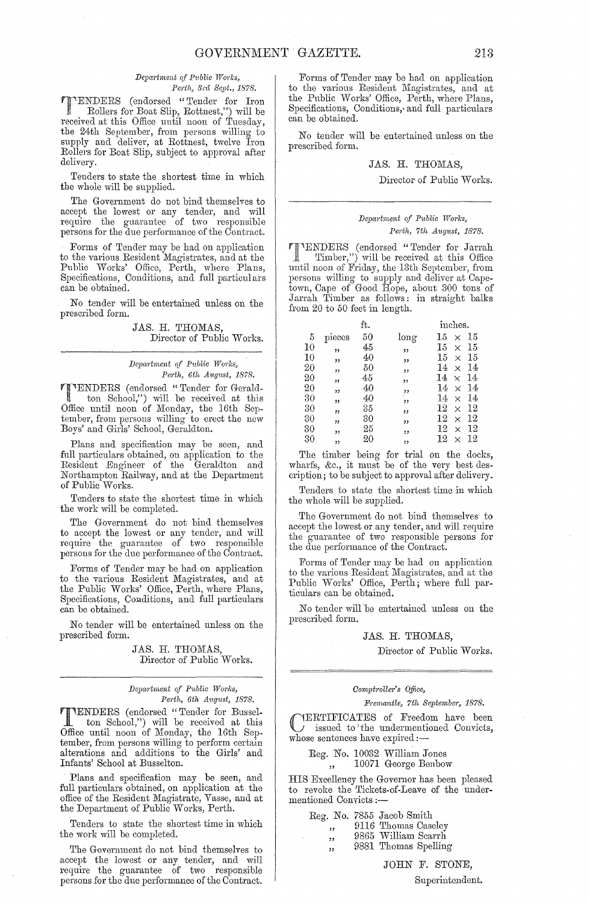$Department of Public Works,$ Perth, 3rd Sept., 1878.

**TENDERS** (endorsed "Tender for Iron Rollers for Boat Slin Rottnest ") will be . Rollers for Boat Slip, Rottnest,") will be received at this Office until noon of Tuesday, the 24th September, from persons willing to supply and deliver, at Rottnest, twelve Iron Rollers for Boat Slip, subject to approval after delivery.

Tenders to state the shortest time in which the whole will be supplied.

The Government do not bind themselves to accept the lowest or any tender, and will require the guamntee of two responsible persons for the due performance of the Contract.

Forms of Tender may be had on application to the various Resident Magistrates, and at the Public Works' Office, Perth, where Plans, Specifications, Conditions, and full particulars can be obtained.

No tender will be entertained unless on the prescribed form.

> JAS. H. THOMAS, Director of Public Works.

 $Department of Public Works,$ 

*Perth, 6th August, 1878.*<br> **PENDERS** (endorsed "Tender for Gerald-<br>
top School" – " **TENDERS** (endorsed "Tender for Gerald-<br>ton School,") will be received at this Office until noon of Monday, the 16th September, from persons willing to erect the new Boys' and Girls' School, Geraldton.

Plans and specification may be seen, and full particulars obtained, on application to the Resident Engineer of the Geraldton and Northampton Railway, and at the Department of Public Works.

Tenders to state the shortest time in which the work will be completed.

The Government do not bind themselves to accept the lowest or any tender, and will require the guarantee of two responsible persons for the due performance of the Contract.

Forms of Tender may be had on application to the various Resident Magistrates, and at the Public Works' Office, Perth, where Plans, Specifications, Conditions, and full particulars can be obtained.

No tender will be entertained unless on the prescribed form.

> JAS. H. THOMAS, Director of Public Works.

#### *Department of Public Works, Perth, 6th August, 1878.*

TENDERS (endorsed "Tender for Bussel-ton School,") will be received at this Office until noon of Monday, the 16th Sep'. tember, from persons willing to perform certain alterations and additions to the Girls' and Infants' School at Busselton.

Plans and specification may be seen, and full particulars obtained, on application at the office of the Resident Magistrate, Vasse, and at the Department of Pnblic Works, Perth.

Tenders to state the shortest time in which the work will be completed.

The Government do not bind themselves to accept the lowest or any tender, and will require the guarantee of two responsible persons for the due performance of the Contract.

Forms of Tender may be had on application to the various Resident Magistrates, and at the Public Works' Office, Perth, where Plans, Specifications, Conditions, and full particulars can be obtained.

No tender will be entertained unless on the prescribed form.

#### JAS. H. THOMAS,

#### Director of Public Works.

#### *Department of P1!blic WO?'ks, Perth, 7th August, 1878.*

**TENDERS** (endorsed "Tender for Jarrah")<br>Timber,") will be received at this Office<br>until peop of Friday the 12th Sontombor from Timber,") will be received at this Office until noon of Friday, the 13th September, from persons willing to supply and deliver at Capetown, Cape of Good Hope, about 300 tons of Jarrah Timber as follows: in straight balks from 20 to 50 feet in length.

|    |        | ft. |      | inches.            |    |  |  |
|----|--------|-----|------|--------------------|----|--|--|
| 5  | pieces | 50  | long | 15<br>$\times$     | 15 |  |  |
| 10 | ,,     | 45  | ,,   | 15<br>$\times$     | 15 |  |  |
| 10 | "      | 40  | ,,   | 15<br>$\times$     | 15 |  |  |
| 20 | ,,     | 50  | ,,   | 14<br>$\times$     | 14 |  |  |
| 20 | "      | 45  | ,,   | 14<br>$\times$     | 14 |  |  |
| 20 | "      | 40  | ,,,  | 14<br>$\times$     | 14 |  |  |
| 30 | ,,     | 40  | ,,   | 14<br>$\times$     | 14 |  |  |
| 30 | ,,     | 35  | "    | $12\,$<br>$\times$ | 12 |  |  |
| 30 | ,,     | 30  | "    | 12<br>$\times$     | 12 |  |  |
| 30 | ,,     | 25  | ,,   | 12<br>$\times$     | 12 |  |  |
| 30 | ,,     | 20  | ,,   | 12<br>$\times$     | 12 |  |  |

 $\begin{array}{ccccc}\n\text{or} & \text{...} & \text{...} & \text{...} \\
\text{The time being for trial on the docks,}\n\end{array}$ wharfs, &c., it must be of the very best description; to be subject to approval after delivery.

Tenders to state the shortest time in which the whole will be supplied.

The Government do not bind themselves to accept the lowest or any tender, and will require the guamntee of two responsible persons for the due performance of the Contract.

Forms of Tender may be had on application to the various Resident Magistrates, and at the Public Works' Office, Perth; where full particulars can be obtained.

No tender will be entertained unless on the prescribed form.

#### JAS. H. THOMAS,

Director of Public Works.

#### *Oomptrollm" s Office,*

#### $Fremantle, 7th$  September, 1878.

CERTIFICATES of Freedom have been issued to the undermentioned Convicts, whose sentences have expired:-

|    | Reg. No. 10032 William Jones |
|----|------------------------------|
| ,, | 10071 George Benbow          |

HIS Excelleney the Governor has been pleased to revoke the Tickets-of-Leave of the undermentioned Convicts :-

| 12<br>$55 -$            | Reg. No. 7855 Jacob Smith<br>9116 Thomas Caseley<br>9865 William Searrh |  |
|-------------------------|-------------------------------------------------------------------------|--|
| $\overline{\mathbf{z}}$ | 9881 Thomas Spelling                                                    |  |

Superintendent.